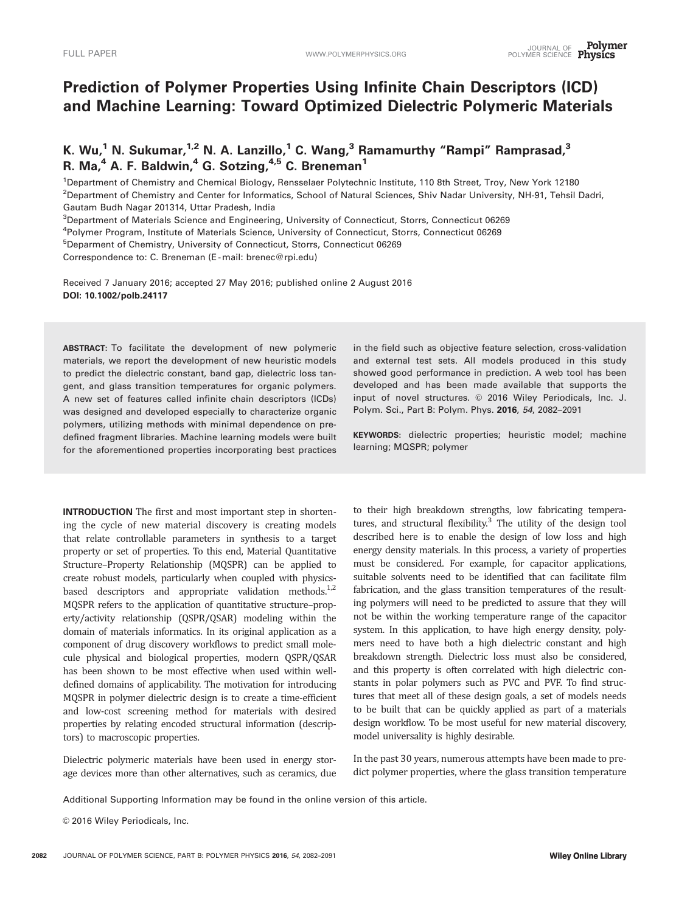# Prediction of Polymer Properties Using Infinite Chain Descriptors (ICD) and Machine Learning: Toward Optimized Dielectric Polymeric Materials

K. Wu,<sup>1</sup> N. Sukumar,<sup>1,2</sup> N. A. Lanzillo,<sup>1</sup> C. Wang,<sup>3</sup> Ramamurthy "Rampi" Ramprasad,<sup>3</sup> R. Ma, $4$  A. F. Baldwin, $4$  G. Sotzing, $4.5$  C. Breneman<sup>1</sup>

<sup>1</sup>Department of Chemistry and Chemical Biology, Rensselaer Polytechnic Institute, 110 8th Street, Troy, New York 12180 2 Department of Chemistry and Center for Informatics, School of Natural Sciences, Shiv Nadar University, NH-91, Tehsil Dadri, Gautam Budh Nagar 201314, Uttar Pradesh, India

3 Department of Materials Science and Engineering, University of Connecticut, Storrs, Connecticut 06269

4 Polymer Program, Institute of Materials Science, University of Connecticut, Storrs, Connecticut 06269

5 Deparment of Chemistry, University of Connecticut, Storrs, Connecticut 06269

Correspondence to: C. Breneman (E -mail: brenec@rpi.edu)

Received 7 January 2016; accepted 27 May 2016; published online 2 August 2016 DOI: 10.1002/polb.24117

ABSTRACT: To facilitate the development of new polymeric materials, we report the development of new heuristic models to predict the dielectric constant, band gap, dielectric loss tangent, and glass transition temperatures for organic polymers. A new set of features called infinite chain descriptors (ICDs) was designed and developed especially to characterize organic polymers, utilizing methods with minimal dependence on predefined fragment libraries. Machine learning models were built for the aforementioned properties incorporating best practices

INTRODUCTION The first and most important step in shortening the cycle of new material discovery is creating models that relate controllable parameters in synthesis to a target property or set of properties. To this end, Material Quantitative Structure–Property Relationship (MQSPR) can be applied to create robust models, particularly when coupled with physicsbased descriptors and appropriate validation methods.<sup>1,2</sup> MQSPR refers to the application of quantitative structure–property/activity relationship (QSPR/QSAR) modeling within the domain of materials informatics. In its original application as a component of drug discovery workflows to predict small molecule physical and biological properties, modern QSPR/QSAR has been shown to be most effective when used within welldefined domains of applicability. The motivation for introducing MQSPR in polymer dielectric design is to create a time-efficient and low-cost screening method for materials with desired properties by relating encoded structural information (descriptors) to macroscopic properties.

Dielectric polymeric materials have been used in energy storage devices more than other alternatives, such as ceramics, due in the field such as objective feature selection, cross-validation and external test sets. All models produced in this study showed good performance in prediction. A web tool has been developed and has been made available that supports the input of novel structures. © 2016 Wiley Periodicals, Inc. J. Polym. Sci., Part B: Polym. Phys. 2016, 54, 2082–2091

KEYWORDS: dielectric properties; heuristic model; machine learning; MQSPR; polymer

to their high breakdown strengths, low fabricating temperatures, and structural flexibility.<sup>3</sup> The utility of the design tool described here is to enable the design of low loss and high energy density materials. In this process, a variety of properties must be considered. For example, for capacitor applications, suitable solvents need to be identified that can facilitate film fabrication, and the glass transition temperatures of the resulting polymers will need to be predicted to assure that they will not be within the working temperature range of the capacitor system. In this application, to have high energy density, polymers need to have both a high dielectric constant and high breakdown strength. Dielectric loss must also be considered, and this property is often correlated with high dielectric constants in polar polymers such as PVC and PVF. To find structures that meet all of these design goals, a set of models needs to be built that can be quickly applied as part of a materials design workflow. To be most useful for new material discovery, model universality is highly desirable.

In the past 30 years, numerous attempts have been made to predict polymer properties, where the glass transition temperature

Additional Supporting Information may be found in the online version of this article.

© 2016 Wiley Periodicals, Inc.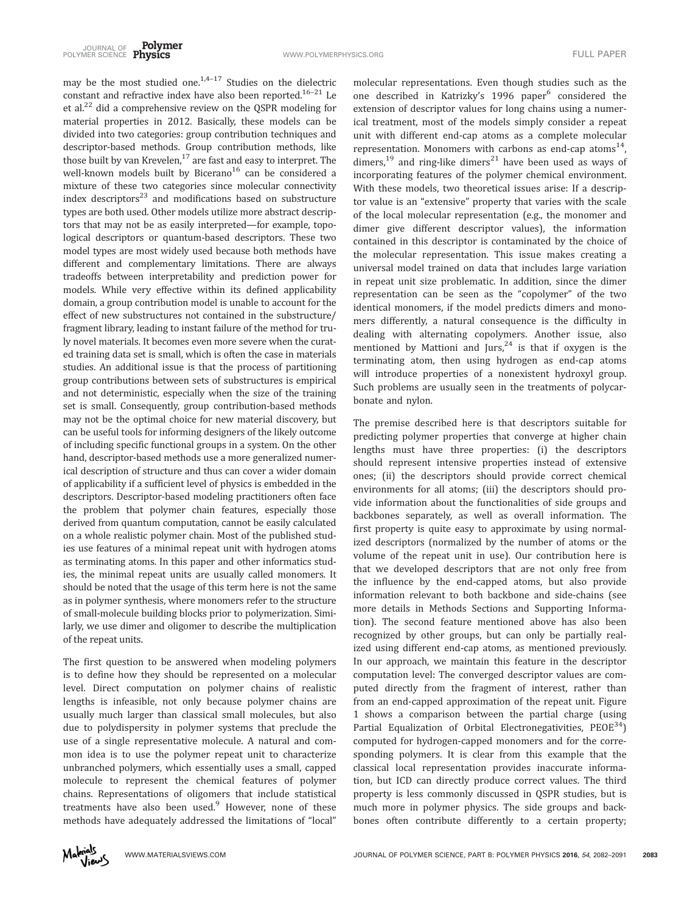may be the most studied one. $1,4-17$  Studies on the dielectric constant and refractive index have also been reported.<sup>16-21</sup> Le et al.22 did a comprehensive review on the QSPR modeling for material properties in 2012. Basically, these models can be divided into two categories: group contribution techniques and descriptor-based methods. Group contribution methods, like those built by van Krevelen, $^{17}$  are fast and easy to interpret. The well-known models built by Bicerano<sup>16</sup> can be considered a mixture of these two categories since molecular connectivity index descriptors $^{23}$  and modifications based on substructure types are both used. Other models utilize more abstract descriptors that may not be as easily interpreted—for example, topological descriptors or quantum-based descriptors. These two model types are most widely used because both methods have different and complementary limitations. There are always tradeoffs between interpretability and prediction power for models. While very effective within its defined applicability domain, a group contribution model is unable to account for the effect of new substructures not contained in the substructure/ fragment library, leading to instant failure of the method for truly novel materials. It becomes even more severe when the curated training data set is small, which is often the case in materials studies. An additional issue is that the process of partitioning group contributions between sets of substructures is empirical and not deterministic, especially when the size of the training set is small. Consequently, group contribution-based methods may not be the optimal choice for new material discovery, but can be useful tools for informing designers of the likely outcome of including specific functional groups in a system. On the other hand, descriptor-based methods use a more generalized numerical description of structure and thus can cover a wider domain of applicability if a sufficient level of physics is embedded in the descriptors. Descriptor-based modeling practitioners often face the problem that polymer chain features, especially those derived from quantum computation, cannot be easily calculated on a whole realistic polymer chain. Most of the published studies use features of a minimal repeat unit with hydrogen atoms as terminating atoms. In this paper and other informatics studies, the minimal repeat units are usually called monomers. It should be noted that the usage of this term here is not the same as in polymer synthesis, where monomers refer to the structure of small-molecule building blocks prior to polymerization. Similarly, we use dimer and oligomer to describe the multiplication of the repeat units.

The first question to be answered when modeling polymers is to define how they should be represented on a molecular level. Direct computation on polymer chains of realistic lengths is infeasible, not only because polymer chains are usually much larger than classical small molecules, but also due to polydispersity in polymer systems that preclude the use of a single representative molecule. A natural and common idea is to use the polymer repeat unit to characterize unbranched polymers, which essentially uses a small, capped molecule to represent the chemical features of polymer chains. Representations of oligomers that include statistical treatments have also been used.<sup>9</sup> However, none of these methods have adequately addressed the limitations of "local"

molecular representations. Even though studies such as the one described in Katrizky's 1996 paper<sup>6</sup> considered the extension of descriptor values for long chains using a numerical treatment, most of the models simply consider a repeat unit with different end-cap atoms as a complete molecular representation. Monomers with carbons as end-cap atoms<sup>14</sup>, dimers, $19$  and ring-like dimers<sup>21</sup> have been used as ways of incorporating features of the polymer chemical environment. With these models, two theoretical issues arise: If a descriptor value is an "extensive" property that varies with the scale of the local molecular representation (e.g., the monomer and dimer give different descriptor values), the information contained in this descriptor is contaminated by the choice of the molecular representation. This issue makes creating a universal model trained on data that includes large variation in repeat unit size problematic. In addition, since the dimer representation can be seen as the "copolymer" of the two identical monomers, if the model predicts dimers and monomers differently, a natural consequence is the difficulty in dealing with alternating copolymers. Another issue, also mentioned by Mattioni and Jurs, $24$  is that if oxygen is the terminating atom, then using hydrogen as end-cap atoms will introduce properties of a nonexistent hydroxyl group. Such problems are usually seen in the treatments of polycarbonate and nylon.

The premise described here is that descriptors suitable for predicting polymer properties that converge at higher chain lengths must have three properties: (i) the descriptors should represent intensive properties instead of extensive ones; (ii) the descriptors should provide correct chemical environments for all atoms; (iii) the descriptors should provide information about the functionalities of side groups and backbones separately, as well as overall information. The first property is quite easy to approximate by using normalized descriptors (normalized by the number of atoms or the volume of the repeat unit in use). Our contribution here is that we developed descriptors that are not only free from the influence by the end-capped atoms, but also provide information relevant to both backbone and side-chains (see more details in Methods Sections and Supporting Information). The second feature mentioned above has also been recognized by other groups, but can only be partially realized using different end-cap atoms, as mentioned previously. In our approach, we maintain this feature in the descriptor computation level: The converged descriptor values are computed directly from the fragment of interest, rather than from an end-capped approximation of the repeat unit. Figure 1 shows a comparison between the partial charge (using Partial Equalization of Orbital Electronegativities,  $PEOE<sup>34</sup>$ ) computed for hydrogen-capped monomers and for the corresponding polymers. It is clear from this example that the classical local representation provides inaccurate information, but ICD can directly produce correct values. The third property is less commonly discussed in QSPR studies, but is much more in polymer physics. The side groups and backbones often contribute differently to a certain property;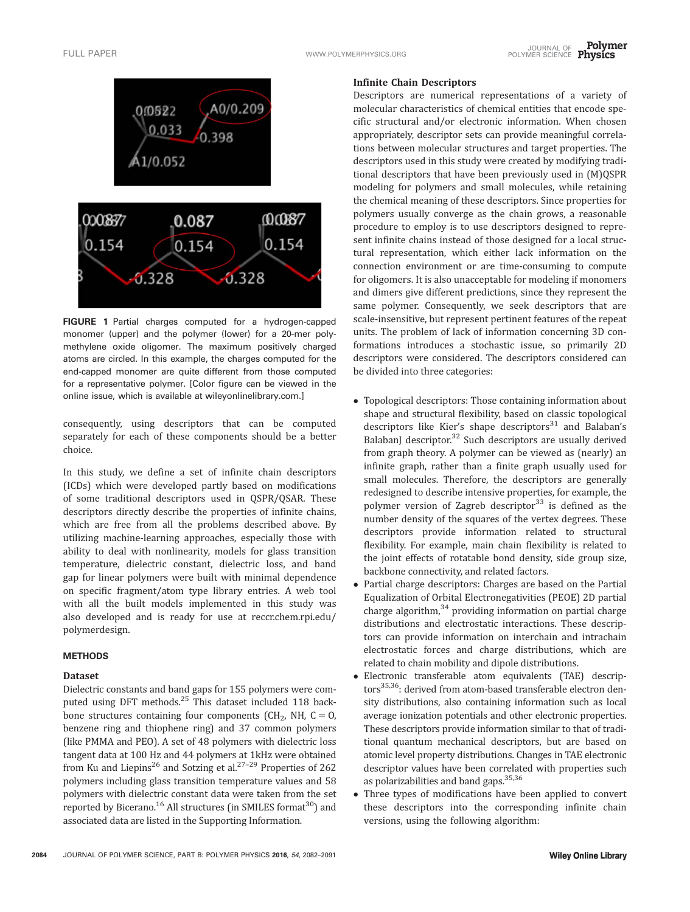

FIGURE 1 Partial charges computed for a hydrogen-capped monomer (upper) and the polymer (lower) for a 20-mer polymethylene oxide oligomer. The maximum positively charged atoms are circled. In this example, the charges computed for the end-capped monomer are quite different from those computed for a representative polymer. [Color figure can be viewed in the online issue, which is available at [wileyonlinelibrary.com](http://wileyonlinelibrary.com).]

consequently, using descriptors that can be computed separately for each of these components should be a better choice.

In this study, we define a set of infinite chain descriptors (ICDs) which were developed partly based on modifications of some traditional descriptors used in QSPR/QSAR. These descriptors directly describe the properties of infinite chains, which are free from all the problems described above. By utilizing machine-learning approaches, especially those with ability to deal with nonlinearity, models for glass transition temperature, dielectric constant, dielectric loss, and band gap for linear polymers were built with minimal dependence on specific fragment/atom type library entries. A web tool with all the built models implemented in this study was also developed and is ready for use at reccr.chem.rpi.edu/ polymerdesign.

#### METHODS

## Dataset

Dielectric constants and band gaps for 155 polymers were computed using DFT methods.<sup>25</sup> This dataset included 118 backbone structures containing four components ( $CH<sub>2</sub>$ , NH,  $C = 0$ , benzene ring and thiophene ring) and 37 common polymers (like PMMA and PEO). A set of 48 polymers with dielectric loss tangent data at 100 Hz and 44 polymers at 1kHz were obtained from Ku and Liepins<sup>26</sup> and Sotzing et al.<sup>27-29</sup> Properties of 262 polymers including glass transition temperature values and 58 polymers with dielectric constant data were taken from the set reported by Bicerano.<sup>16</sup> All structures (in SMILES format<sup>30</sup>) and associated data are listed in the Supporting Information.

# Infinite Chain Descriptors

Descriptors are numerical representations of a variety of molecular characteristics of chemical entities that encode specific structural and/or electronic information. When chosen appropriately, descriptor sets can provide meaningful correlations between molecular structures and target properties. The descriptors used in this study were created by modifying traditional descriptors that have been previously used in (M)QSPR modeling for polymers and small molecules, while retaining the chemical meaning of these descriptors. Since properties for polymers usually converge as the chain grows, a reasonable procedure to employ is to use descriptors designed to represent infinite chains instead of those designed for a local structural representation, which either lack information on the connection environment or are time-consuming to compute for oligomers. It is also unacceptable for modeling if monomers and dimers give different predictions, since they represent the same polymer. Consequently, we seek descriptors that are scale-insensitive, but represent pertinent features of the repeat units. The problem of lack of information concerning 3D conformations introduces a stochastic issue, so primarily 2D descriptors were considered. The descriptors considered can be divided into three categories:

- Topological descriptors: Those containing information about shape and structural flexibility, based on classic topological descriptors like Kier's shape descriptors<sup>31</sup> and Balaban's BalabanJ descriptor.<sup>32</sup> Such descriptors are usually derived from graph theory. A polymer can be viewed as (nearly) an infinite graph, rather than a finite graph usually used for small molecules. Therefore, the descriptors are generally redesigned to describe intensive properties, for example, the polymer version of Zagreb descriptor $33$  is defined as the number density of the squares of the vertex degrees. These descriptors provide information related to structural flexibility. For example, main chain flexibility is related to the joint effects of rotatable bond density, side group size, backbone connectivity, and related factors.
- Partial charge descriptors: Charges are based on the Partial Equalization of Orbital Electronegativities (PEOE) 2D partial charge algorithm, $34$  providing information on partial charge distributions and electrostatic interactions. These descriptors can provide information on interchain and intrachain electrostatic forces and charge distributions, which are related to chain mobility and dipole distributions.
- Electronic transferable atom equivalents (TAE) descriptors<sup>35,36</sup>: derived from atom-based transferable electron density distributions, also containing information such as local average ionization potentials and other electronic properties. These descriptors provide information similar to that of traditional quantum mechanical descriptors, but are based on atomic level property distributions. Changes in TAE electronic descriptor values have been correlated with properties such as polarizabilities and band gaps.<sup>35,36</sup>
- Three types of modifications have been applied to convert these descriptors into the corresponding infinite chain versions, using the following algorithm: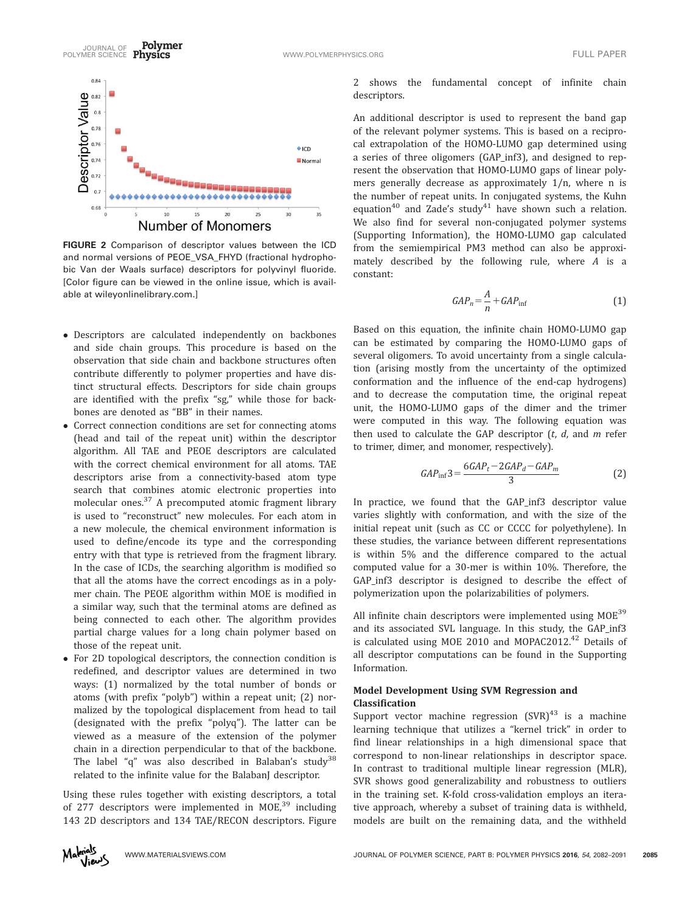Polymer JOURNAL OF TULL PAPER<br>POLYMER SCIENCE Physics The Contract of the Communication of the Contract of the Contract of Tull Paper



FIGURE 2 Comparison of descriptor values between the ICD and normal versions of PEOE\_VSA\_FHYD (fractional hydrophobic Van der Waals surface) descriptors for polyvinyl fluoride. [Color figure can be viewed in the online issue, which is available at [wileyonlinelibrary.com.](http://wileyonlinelibrary.com)]

- Descriptors are calculated independently on backbones and side chain groups. This procedure is based on the observation that side chain and backbone structures often contribute differently to polymer properties and have distinct structural effects. Descriptors for side chain groups are identified with the prefix "sg," while those for backbones are denoted as "BB" in their names.
- Correct connection conditions are set for connecting atoms (head and tail of the repeat unit) within the descriptor algorithm. All TAE and PEOE descriptors are calculated with the correct chemical environment for all atoms. TAE descriptors arise from a connectivity-based atom type search that combines atomic electronic properties into molecular ones.<sup>37</sup> A precomputed atomic fragment library is used to "reconstruct" new molecules. For each atom in a new molecule, the chemical environment information is used to define/encode its type and the corresponding entry with that type is retrieved from the fragment library. In the case of ICDs, the searching algorithm is modified so that all the atoms have the correct encodings as in a polymer chain. The PEOE algorithm within MOE is modified in a similar way, such that the terminal atoms are defined as being connected to each other. The algorithm provides partial charge values for a long chain polymer based on those of the repeat unit.
- For 2D topological descriptors, the connection condition is redefined, and descriptor values are determined in two ways: (1) normalized by the total number of bonds or atoms (with prefix "polyb") within a repeat unit; (2) normalized by the topological displacement from head to tail (designated with the prefix "polyq"). The latter can be viewed as a measure of the extension of the polymer chain in a direction perpendicular to that of the backbone. The label "q" was also described in Balaban's study<sup>38</sup> related to the infinite value for the BalabanJ descriptor.

Using these rules together with existing descriptors, a total of 277 descriptors were implemented in MOE, $39$  including 143 2D descriptors and 134 TAE/RECON descriptors. Figure

2 shows the fundamental concept of infinite chain descriptors.

An additional descriptor is used to represent the band gap of the relevant polymer systems. This is based on a reciprocal extrapolation of the HOMO-LUMO gap determined using a series of three oligomers (GAP\_inf3), and designed to represent the observation that HOMO-LUMO gaps of linear polymers generally decrease as approximately 1/n, where n is the number of repeat units. In conjugated systems, the Kuhn equation<sup>40</sup> and Zade's study<sup>41</sup> have shown such a relation. We also find for several non-conjugated polymer systems (Supporting Information), the HOMO-LUMO gap calculated from the semiempirical PM3 method can also be approximately described by the following rule, where A is a constant:

$$
GAP_n = \frac{A}{n} + GAP_{\text{inf}} \tag{1}
$$

Based on this equation, the infinite chain HOMO-LUMO gap can be estimated by comparing the HOMO-LUMO gaps of several oligomers. To avoid uncertainty from a single calculation (arising mostly from the uncertainty of the optimized conformation and the influence of the end-cap hydrogens) and to decrease the computation time, the original repeat unit, the HOMO-LUMO gaps of the dimer and the trimer were computed in this way. The following equation was then used to calculate the GAP descriptor  $(t, d,$  and  $m$  refer to trimer, dimer, and monomer, respectively).

$$
GAP_{\text{inf}}3 = \frac{6GAP_t - 2GAP_d - GAP_m}{3} \tag{2}
$$

In practice, we found that the GAP\_inf3 descriptor value varies slightly with conformation, and with the size of the initial repeat unit (such as CC or CCCC for polyethylene). In these studies, the variance between different representations is within 5% and the difference compared to the actual computed value for a 30-mer is within 10%. Therefore, the GAP\_inf3 descriptor is designed to describe the effect of polymerization upon the polarizabilities of polymers.

All infinite chain descriptors were implemented using  $MOE<sup>39</sup>$ and its associated SVL language. In this study, the GAP\_inf3 is calculated using MOE 2010 and MOPAC2012. $42$  Details of all descriptor computations can be found in the Supporting Information.

# Model Development Using SVM Regression and Classification

Support vector machine regression  $(SVR)^{43}$  is a machine learning technique that utilizes a "kernel trick" in order to find linear relationships in a high dimensional space that correspond to non-linear relationships in descriptor space. In contrast to traditional multiple linear regression (MLR), SVR shows good generalizability and robustness to outliers in the training set. K-fold cross-validation employs an iterative approach, whereby a subset of training data is withheld, models are built on the remaining data, and the withheld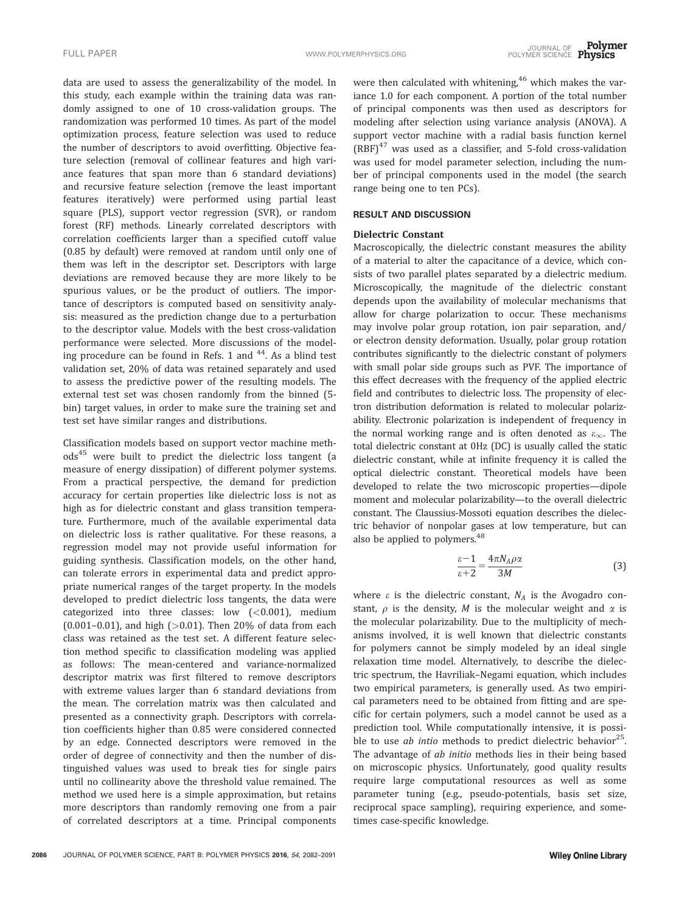data are used to assess the generalizability of the model. In this study, each example within the training data was randomly assigned to one of 10 cross-validation groups. The randomization was performed 10 times. As part of the model optimization process, feature selection was used to reduce the number of descriptors to avoid overfitting. Objective feature selection (removal of collinear features and high variance features that span more than 6 standard deviations) and recursive feature selection (remove the least important features iteratively) were performed using partial least square (PLS), support vector regression (SVR), or random forest (RF) methods. Linearly correlated descriptors with correlation coefficients larger than a specified cutoff value (0.85 by default) were removed at random until only one of them was left in the descriptor set. Descriptors with large deviations are removed because they are more likely to be spurious values, or be the product of outliers. The importance of descriptors is computed based on sensitivity analysis: measured as the prediction change due to a perturbation to the descriptor value. Models with the best cross-validation performance were selected. More discussions of the modeling procedure can be found in Refs. 1 and  $44$ . As a blind test validation set, 20% of data was retained separately and used to assess the predictive power of the resulting models. The external test set was chosen randomly from the binned (5 bin) target values, in order to make sure the training set and test set have similar ranges and distributions.

Classification models based on support vector machine methods<sup>45</sup> were built to predict the dielectric loss tangent (a measure of energy dissipation) of different polymer systems. From a practical perspective, the demand for prediction accuracy for certain properties like dielectric loss is not as high as for dielectric constant and glass transition temperature. Furthermore, much of the available experimental data on dielectric loss is rather qualitative. For these reasons, a regression model may not provide useful information for guiding synthesis. Classification models, on the other hand, can tolerate errors in experimental data and predict appropriate numerical ranges of the target property. In the models developed to predict dielectric loss tangents, the data were categorized into three classes: low  $( $0.001$ ), medium$  $(0.001-0.01)$ , and high  $(>0.01)$ . Then 20% of data from each class was retained as the test set. A different feature selection method specific to classification modeling was applied as follows: The mean-centered and variance-normalized descriptor matrix was first filtered to remove descriptors with extreme values larger than 6 standard deviations from the mean. The correlation matrix was then calculated and presented as a connectivity graph. Descriptors with correlation coefficients higher than 0.85 were considered connected by an edge. Connected descriptors were removed in the order of degree of connectivity and then the number of distinguished values was used to break ties for single pairs until no collinearity above the threshold value remained. The method we used here is a simple approximation, but retains more descriptors than randomly removing one from a pair of correlated descriptors at a time. Principal components

were then calculated with whitening, $46$  which makes the variance 1.0 for each component. A portion of the total number of principal components was then used as descriptors for modeling after selection using variance analysis (ANOVA). A support vector machine with a radial basis function kernel  $(RBF)^{47}$  was used as a classifier, and 5-fold cross-validation was used for model parameter selection, including the number of principal components used in the model (the search range being one to ten PCs).

## RESULT AND DISCUSSION

# Dielectric Constant

Macroscopically, the dielectric constant measures the ability of a material to alter the capacitance of a device, which consists of two parallel plates separated by a dielectric medium. Microscopically, the magnitude of the dielectric constant depends upon the availability of molecular mechanisms that allow for charge polarization to occur. These mechanisms may involve polar group rotation, ion pair separation, and/ or electron density deformation. Usually, polar group rotation contributes significantly to the dielectric constant of polymers with small polar side groups such as PVF. The importance of this effect decreases with the frequency of the applied electric field and contributes to dielectric loss. The propensity of electron distribution deformation is related to molecular polarizability. Electronic polarization is independent of frequency in the normal working range and is often denoted as  $\varepsilon_{\infty}$ . The total dielectric constant at 0Hz (DC) is usually called the static dielectric constant, while at infinite frequency it is called the optical dielectric constant. Theoretical models have been developed to relate the two microscopic properties—dipole moment and molecular polarizability—to the overall dielectric constant. The Claussius-Mossoti equation describes the dielectric behavior of nonpolar gases at low temperature, but can also be applied to polymers.<sup>48</sup>

$$
\frac{\varepsilon - 1}{\varepsilon + 2} = \frac{4\pi N_A \rho \alpha}{3M} \tag{3}
$$

where  $\varepsilon$  is the dielectric constant,  $N_A$  is the Avogadro constant,  $\rho$  is the density, M is the molecular weight and  $\alpha$  is the molecular polarizability. Due to the multiplicity of mechanisms involved, it is well known that dielectric constants for polymers cannot be simply modeled by an ideal single relaxation time model. Alternatively, to describe the dielectric spectrum, the Havriliak–Negami equation, which includes two empirical parameters, is generally used. As two empirical parameters need to be obtained from fitting and are specific for certain polymers, such a model cannot be used as a prediction tool. While computationally intensive, it is possible to use *ab intio* methods to predict dielectric behavior $^{25}$ . The advantage of ab initio methods lies in their being based on microscopic physics. Unfortunately, good quality results require large computational resources as well as some parameter tuning (e.g., pseudo-potentials, basis set size, reciprocal space sampling), requiring experience, and sometimes case-specific knowledge.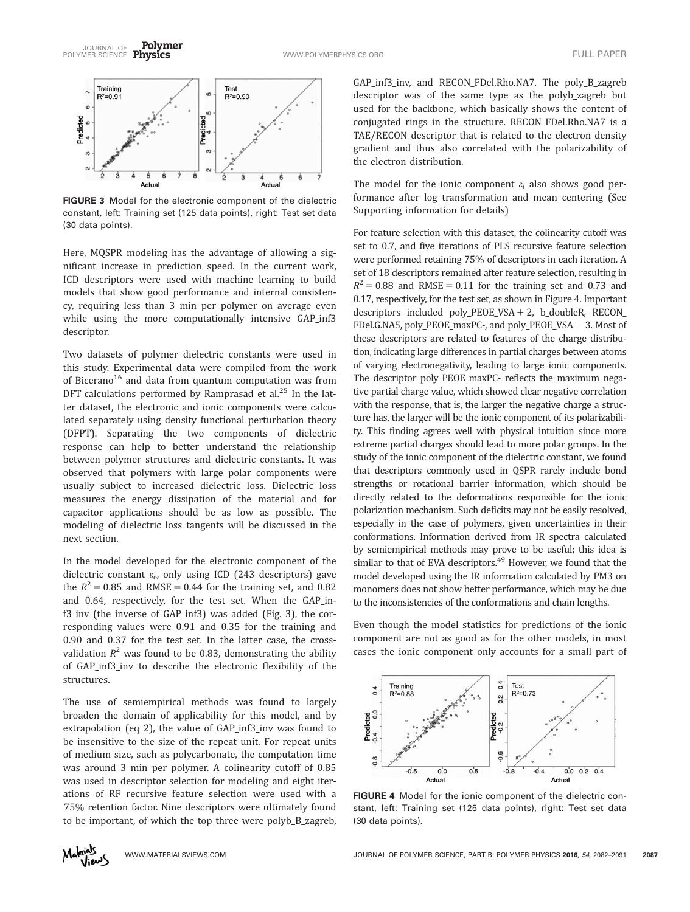

FIGURE 3 Model for the electronic component of the dielectric constant, left: Training set (125 data points), right: Test set data (30 data points).

Here, MQSPR modeling has the advantage of allowing a significant increase in prediction speed. In the current work, ICD descriptors were used with machine learning to build models that show good performance and internal consistency, requiring less than 3 min per polymer on average even while using the more computationally intensive GAP\_inf3 descriptor.

Two datasets of polymer dielectric constants were used in this study. Experimental data were compiled from the work of Bicerano<sup>16</sup> and data from quantum computation was from DFT calculations performed by Ramprasad et al. $^{25}$  In the latter dataset, the electronic and ionic components were calculated separately using density functional perturbation theory (DFPT). Separating the two components of dielectric response can help to better understand the relationship between polymer structures and dielectric constants. It was observed that polymers with large polar components were usually subject to increased dielectric loss. Dielectric loss measures the energy dissipation of the material and for capacitor applications should be as low as possible. The modeling of dielectric loss tangents will be discussed in the next section.

In the model developed for the electronic component of the dielectric constant  $\varepsilon_e$ , only using ICD (243 descriptors) gave the  $R^2 = 0.85$  and RMSE = 0.44 for the training set, and 0.82 and 0.64, respectively, for the test set. When the GAP\_inf3\_inv (the inverse of GAP\_inf3) was added (Fig. 3), the corresponding values were 0.91 and 0.35 for the training and 0.90 and 0.37 for the test set. In the latter case, the crossvalidation  $R^2$  was found to be 0.83, demonstrating the ability of GAP inf3 inv to describe the electronic flexibility of the structures.

The use of semiempirical methods was found to largely broaden the domain of applicability for this model, and by extrapolation (eq 2), the value of GAP\_inf3\_inv was found to be insensitive to the size of the repeat unit. For repeat units of medium size, such as polycarbonate, the computation time was around 3 min per polymer. A colinearity cutoff of 0.85 was used in descriptor selection for modeling and eight iterations of RF recursive feature selection were used with a 75% retention factor. Nine descriptors were ultimately found to be important, of which the top three were polyb\_B\_zagreb,

GAP\_inf3\_inv, and RECON\_FDel.Rho.NA7. The poly\_B\_zagreb descriptor was of the same type as the polyb\_zagreb but used for the backbone, which basically shows the content of conjugated rings in the structure. RECON\_FDel.Rho.NA7 is a TAE/RECON descriptor that is related to the electron density gradient and thus also correlated with the polarizability of the electron distribution.

The model for the ionic component  $\varepsilon_i$  also shows good performance after log transformation and mean centering (See Supporting information for details)

For feature selection with this dataset, the colinearity cutoff was set to 0.7, and five iterations of PLS recursive feature selection were performed retaining 75% of descriptors in each iteration. A set of 18 descriptors remained after feature selection, resulting in  $R^2 = 0.88$  and RMSE = 0.11 for the training set and 0.73 and 0.17, respectively, for the test set, as shown in Figure 4. Important descriptors included poly\_PEOE\_VSA + 2, b\_doubleR, RECON\_  $FDel.G.NA5$ ,  $poly\_PEOE\_maxPC-$ , and  $poly\_PEOE\_VSA + 3$ . Most of these descriptors are related to features of the charge distribution, indicating large differences in partial charges between atoms of varying electronegativity, leading to large ionic components. The descriptor poly\_PEOE\_maxPC- reflects the maximum negative partial charge value, which showed clear negative correlation with the response, that is, the larger the negative charge a structure has, the larger will be the ionic component of its polarizability. This finding agrees well with physical intuition since more extreme partial charges should lead to more polar groups. In the study of the ionic component of the dielectric constant, we found that descriptors commonly used in QSPR rarely include bond strengths or rotational barrier information, which should be directly related to the deformations responsible for the ionic polarization mechanism. Such deficits may not be easily resolved, especially in the case of polymers, given uncertainties in their conformations. Information derived from IR spectra calculated by semiempirical methods may prove to be useful; this idea is similar to that of EVA descriptors.<sup>49</sup> However, we found that the model developed using the IR information calculated by PM3 on monomers does not show better performance, which may be due to the inconsistencies of the conformations and chain lengths.

Even though the model statistics for predictions of the ionic component are not as good as for the other models, in most cases the ionic component only accounts for a small part of



FIGURE 4 Model for the ionic component of the dielectric constant, left: Training set (125 data points), right: Test set data (30 data points).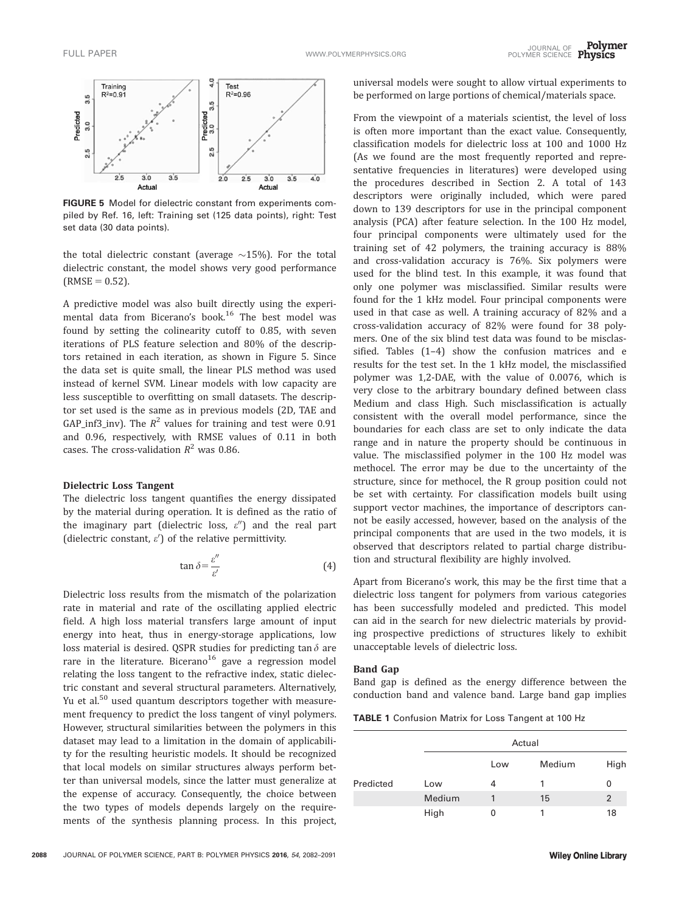

FIGURE 5 Model for dielectric constant from experiments compiled by Ref. 16, left: Training set (125 data points), right: Test set data (30 data points).

the total dielectric constant (average  $\sim$ 15%). For the total dielectric constant, the model shows very good performance  $(RMSE = 0.52)$ .

A predictive model was also built directly using the experimental data from Bicerano's book.<sup>16</sup> The best model was found by setting the colinearity cutoff to 0.85, with seven iterations of PLS feature selection and 80% of the descriptors retained in each iteration, as shown in Figure 5. Since the data set is quite small, the linear PLS method was used instead of kernel SVM. Linear models with low capacity are less susceptible to overfitting on small datasets. The descriptor set used is the same as in previous models (2D, TAE and GAP\_inf3\_inv). The  $R^2$  values for training and test were 0.91 and 0.96, respectively, with RMSE values of 0.11 in both cases. The cross-validation  $R^2$  was 0.86.

#### Dielectric Loss Tangent

The dielectric loss tangent quantifies the energy dissipated by the material during operation. It is defined as the ratio of the imaginary part (dielectric loss,  $\varepsilon$ <sup>"</sup>) and the real part (dielectric constant,  $\varepsilon'$ ) of the relative permittivity.

$$
\tan \delta = \frac{\varepsilon''}{\varepsilon'}\tag{4}
$$

Dielectric loss results from the mismatch of the polarization rate in material and rate of the oscillating applied electric field. A high loss material transfers large amount of input energy into heat, thus in energy-storage applications, low loss material is desired. QSPR studies for predicting tan  $\delta$  are rare in the literature. Bicerano<sup>16</sup> gave a regression model relating the loss tangent to the refractive index, static dielectric constant and several structural parameters. Alternatively, Yu et al.<sup>50</sup> used quantum descriptors together with measurement frequency to predict the loss tangent of vinyl polymers. However, structural similarities between the polymers in this dataset may lead to a limitation in the domain of applicability for the resulting heuristic models. It should be recognized that local models on similar structures always perform better than universal models, since the latter must generalize at the expense of accuracy. Consequently, the choice between the two types of models depends largely on the requirements of the synthesis planning process. In this project,

universal models were sought to allow virtual experiments to be performed on large portions of chemical/materials space.

From the viewpoint of a materials scientist, the level of loss is often more important than the exact value. Consequently, classification models for dielectric loss at 100 and 1000 Hz (As we found are the most frequently reported and representative frequencies in literatures) were developed using the procedures described in Section 2. A total of 143 descriptors were originally included, which were pared down to 139 descriptors for use in the principal component analysis (PCA) after feature selection. In the 100 Hz model, four principal components were ultimately used for the training set of 42 polymers, the training accuracy is 88% and cross-validation accuracy is 76%. Six polymers were used for the blind test. In this example, it was found that only one polymer was misclassified. Similar results were found for the 1 kHz model. Four principal components were used in that case as well. A training accuracy of 82% and a cross-validation accuracy of 82% were found for 38 polymers. One of the six blind test data was found to be misclassified. Tables (1–4) show the confusion matrices and e results for the test set. In the 1 kHz model, the misclassified polymer was 1,2-DAE, with the value of 0.0076, which is very close to the arbitrary boundary defined between class Medium and class High. Such misclassification is actually consistent with the overall model performance, since the boundaries for each class are set to only indicate the data range and in nature the property should be continuous in value. The misclassified polymer in the 100 Hz model was methocel. The error may be due to the uncertainty of the structure, since for methocel, the R group position could not be set with certainty. For classification models built using support vector machines, the importance of descriptors cannot be easily accessed, however, based on the analysis of the principal components that are used in the two models, it is observed that descriptors related to partial charge distribution and structural flexibility are highly involved.

Apart from Bicerano's work, this may be the first time that a dielectric loss tangent for polymers from various categories has been successfully modeled and predicted. This model can aid in the search for new dielectric materials by providing prospective predictions of structures likely to exhibit unacceptable levels of dielectric loss.

## Band Gap

Band gap is defined as the energy difference between the conduction band and valence band. Large band gap implies

TABLE 1 Confusion Matrix for Loss Tangent at 100 Hz

|           |        | Actual |        |      |
|-----------|--------|--------|--------|------|
|           |        | Low    | Medium | High |
| Predicted | Low    | 4      | 1      | 0    |
|           | Medium | 1      | 15     | 2    |
|           | High   | 0      | 1      | 18   |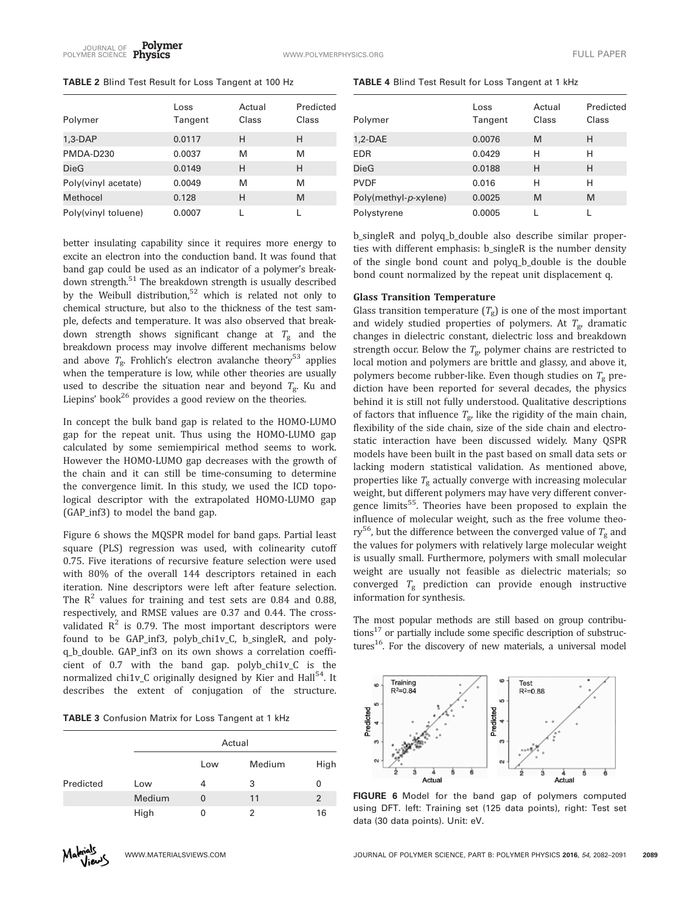|  |  |  |  |  |  | <b>TABLE 2</b> Blind Test Result for Loss Tangent at 100 Hz |  |  |  |
|--|--|--|--|--|--|-------------------------------------------------------------|--|--|--|
|--|--|--|--|--|--|-------------------------------------------------------------|--|--|--|

| Polymer             | Loss<br>Tangent | Actual<br>Class | Predicted<br>Class |
|---------------------|-----------------|-----------------|--------------------|
| $1,3-DAP$           | 0.0117          | н               | н                  |
| PMDA-D230           | 0.0037          | M               | M                  |
| <b>DieG</b>         | 0.0149          | н               | н                  |
| Poly(vinyl acetate) | 0.0049          | M               | M                  |
| Methocel            | 0.128           | Н               | M                  |
| Poly(vinyl toluene) | 0.0007          |                 |                    |

TABLE 4 Blind Test Result for Loss Tangent at 1 kHz

| Polymer               | Loss<br>Tangent | Actual<br>Class | Predicted<br>Class |
|-----------------------|-----------------|-----------------|--------------------|
| 1,2-DAE               | 0.0076          | M               | Н                  |
| EDR                   | 0.0429          | н               | н                  |
| <b>DieG</b>           | 0.0188          | н               | Н                  |
| <b>PVDF</b>           | 0.016           | н               | н                  |
| Poly(methyl-p-xylene) | 0.0025          | M               | M                  |
| Polystyrene           | 0.0005          |                 |                    |

better insulating capability since it requires more energy to excite an electron into the conduction band. It was found that band gap could be used as an indicator of a polymer's breakdown strength.<sup>51</sup> The breakdown strength is usually described by the Weibull distribution,<sup>52</sup> which is related not only to chemical structure, but also to the thickness of the test sample, defects and temperature. It was also observed that breakdown strength shows significant change at  $T_g$  and the breakdown process may involve different mechanisms below and above  $T_{\rm g}$ . Frohlich's electron avalanche theory<sup>53</sup> applies when the temperature is low, while other theories are usually used to describe the situation near and beyond  $T_{g}$ . Ku and Liepins' book<sup>26</sup> provides a good review on the theories.

In concept the bulk band gap is related to the HOMO-LUMO gap for the repeat unit. Thus using the HOMO-LUMO gap calculated by some semiempirical method seems to work. However the HOMO-LUMO gap decreases with the growth of the chain and it can still be time-consuming to determine the convergence limit. In this study, we used the ICD topological descriptor with the extrapolated HOMO-LUMO gap (GAP\_inf3) to model the band gap.

Figure 6 shows the MQSPR model for band gaps. Partial least square (PLS) regression was used, with colinearity cutoff 0.75. Five iterations of recursive feature selection were used with 80% of the overall 144 descriptors retained in each iteration. Nine descriptors were left after feature selection. The  $R^2$  values for training and test sets are 0.84 and 0.88, respectively, and RMSE values are 0.37 and 0.44. The crossvalidated  $R^2$  is 0.79. The most important descriptors were found to be GAP\_inf3, polyb\_chi1v\_C, b\_singleR, and polyq\_b\_double. GAP\_inf3 on its own shows a correlation coefficient of 0.7 with the band gap. polyb\_chi1v\_C is the normalized chi1v<sub>-C</sub> originally designed by Kier and Hall<sup>54</sup>. It describes the extent of conjugation of the structure.

TABLE 3 Confusion Matrix for Loss Tangent at 1 kHz

|           |        | Actual |        |      |  |
|-----------|--------|--------|--------|------|--|
|           |        | Low    | Medium | High |  |
| Predicted | Low    | 4      | 3      | 0    |  |
|           | Medium | 0      | 11     | 2    |  |
|           | High   | 0      | 2      | 16   |  |

b\_singleR and polyq\_b\_double also describe similar properties with different emphasis: b\_singleR is the number density of the single bond count and polyq\_b\_double is the double bond count normalized by the repeat unit displacement q.

#### Glass Transition Temperature

Glass transition temperature  $(T_g)$  is one of the most important and widely studied properties of polymers. At  $T_{\rm g}$ , dramatic changes in dielectric constant, dielectric loss and breakdown strength occur. Below the  $T_{\text{g}}$ , polymer chains are restricted to local motion and polymers are brittle and glassy, and above it, polymers become rubber-like. Even though studies on  $T_g$  prediction have been reported for several decades, the physics behind it is still not fully understood. Qualitative descriptions of factors that influence  $T_{\rm g}$ , like the rigidity of the main chain, flexibility of the side chain, size of the side chain and electrostatic interaction have been discussed widely. Many QSPR models have been built in the past based on small data sets or lacking modern statistical validation. As mentioned above, properties like  $T_{\rm g}$  actually converge with increasing molecular weight, but different polymers may have very different convergence limits<sup>55</sup>. Theories have been proposed to explain the influence of molecular weight, such as the free volume theory $^{56}$ , but the difference between the converged value of  $T_{\rm g}$  and the values for polymers with relatively large molecular weight is usually small. Furthermore, polymers with small molecular weight are usually not feasible as dielectric materials; so converged  $T_g$  prediction can provide enough instructive information for synthesis.

The most popular methods are still based on group contribu $t$ tions $17$  or partially include some specific description of substructures<sup>16</sup>. For the discovery of new materials, a universal model



FIGURE 6 Model for the band gap of polymers computed using DFT. left: Training set (125 data points), right: Test set data (30 data points). Unit: eV.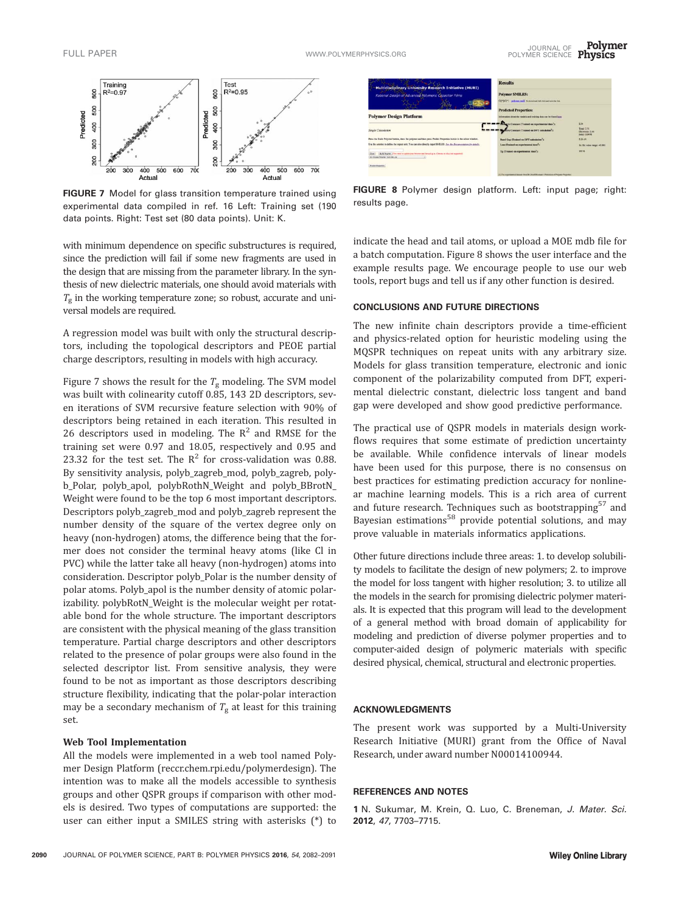

FIGURE 7 Model for glass transition temperature trained using experimental data compiled in ref. 16 Left: Training set (190 data points. Right: Test set (80 data points). Unit: K.

with minimum dependence on specific substructures is required, since the prediction will fail if some new fragments are used in the design that are missing from the parameter library. In the synthesis of new dielectric materials, one should avoid materials with  $T_g$  in the working temperature zone; so robust, accurate and universal models are required.

A regression model was built with only the structural descriptors, including the topological descriptors and PEOE partial charge descriptors, resulting in models with high accuracy.

Figure 7 shows the result for the  $T_{\rm g}$  modeling. The SVM model was built with colinearity cutoff 0.85, 143 2D descriptors, seven iterations of SVM recursive feature selection with 90% of descriptors being retained in each iteration. This resulted in 26 descriptors used in modeling. The  $R^2$  and RMSE for the training set were 0.97 and 18.05, respectively and 0.95 and 23.32 for the test set. The  $R^2$  for cross-validation was 0.88. By sensitivity analysis, polyb\_zagreb\_mod, polyb\_zagreb, polyb\_Polar, polyb\_apol, polybRothN\_Weight and polyb\_BBrotN\_ Weight were found to be the top 6 most important descriptors. Descriptors polyb\_zagreb\_mod and polyb\_zagreb represent the number density of the square of the vertex degree only on heavy (non-hydrogen) atoms, the difference being that the former does not consider the terminal heavy atoms (like Cl in PVC) while the latter take all heavy (non-hydrogen) atoms into consideration. Descriptor polyb\_Polar is the number density of polar atoms. Polyb\_apol is the number density of atomic polarizability. polybRotN\_Weight is the molecular weight per rotatable bond for the whole structure. The important descriptors are consistent with the physical meaning of the glass transition temperature. Partial charge descriptors and other descriptors related to the presence of polar groups were also found in the selected descriptor list. From sensitive analysis, they were found to be not as important as those descriptors describing structure flexibility, indicating that the polar-polar interaction may be a secondary mechanism of  $T_g$  at least for this training set.

# Web Tool Implementation

All the models were implemented in a web tool named Polymer Design Platform (reccr.chem.rpi.edu/polymerdesign). The intention was to make all the models accessible to synthesis groups and other QSPR groups if comparison with other models is desired. Two types of computations are supported: the user can either input a SMILES string with asterisks (\*) to



FIGURE 8 Polymer design platform. Left: input page; right: results page.

indicate the head and tail atoms, or upload a MOE mdb file for a batch computation. Figure 8 shows the user interface and the example results page. We encourage people to use our web tools, report bugs and tell us if any other function is desired.

## CONCLUSIONS AND FUTURE DIRECTIONS

The new infinite chain descriptors provide a time-efficient and physics-related option for heuristic modeling using the MQSPR techniques on repeat units with any arbitrary size. Models for glass transition temperature, electronic and ionic component of the polarizability computed from DFT, experimental dielectric constant, dielectric loss tangent and band gap were developed and show good predictive performance.

The practical use of QSPR models in materials design workflows requires that some estimate of prediction uncertainty be available. While confidence intervals of linear models have been used for this purpose, there is no consensus on best practices for estimating prediction accuracy for nonlinear machine learning models. This is a rich area of current and future research. Techniques such as bootstrapping<sup>57</sup> and Bayesian estimations<sup>58</sup> provide potential solutions, and may prove valuable in materials informatics applications.

Other future directions include three areas: 1. to develop solubility models to facilitate the design of new polymers; 2. to improve the model for loss tangent with higher resolution; 3. to utilize all the models in the search for promising dielectric polymer materials. It is expected that this program will lead to the development of a general method with broad domain of applicability for modeling and prediction of diverse polymer properties and to computer-aided design of polymeric materials with specific desired physical, chemical, structural and electronic properties.

#### ACKNOWLEDGMENTS

The present work was supported by a Multi-University Research Initiative (MURI) grant from the Office of Naval Research, under award number N00014100944.

#### REFERENCES AND NOTES

1 N. Sukumar, M. Krein, Q. Luo, C. Breneman, J. Mater. Sci. 2012, 47, 7703–7715.